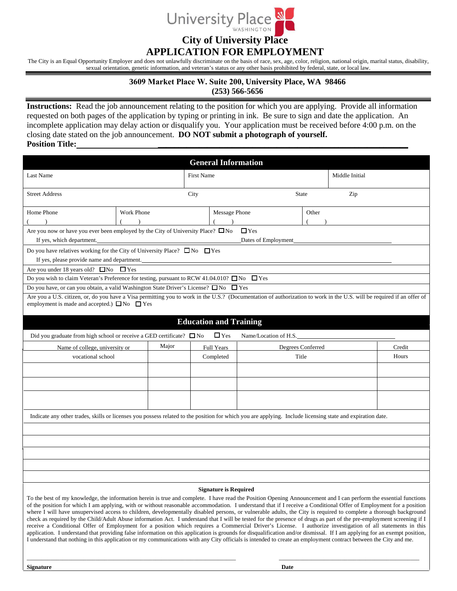

## **City of University Place**

## **APPLICATION FOR EMPLOYMENT**

The City is an Equal Opportunity Employer and does not unlawfully discriminate on the basis of race, sex, age, color, religion, national origin, marital status, disability, sexual orientation, genetic information, and veteran's status or any other basis prohibited by federal, state, or local law.

## **3609 Market Place W. Suite 200, University Place, WA 98466**

**(253) 566-5656**

**Instructions:** Read the job announcement relating to the position for which you are applying. Provide all information requested on both pages of the application by typing or printing in ink. Be sure to sign and date the application. An incomplete application may delay action or disqualify you. Your application must be received before 4:00 p.m. on the closing date stated on the job announcement. **DO NOT submit a photograph of yourself. Position Title:** 

|                                                                                                                                                                                                                                                                                                                                                                                                                                                                                                                                                                                                                                                                                                                                                                                                                                                                                                                                                                                                                                  |            | <b>General Information</b>    |                        |                   |                |        |  |
|----------------------------------------------------------------------------------------------------------------------------------------------------------------------------------------------------------------------------------------------------------------------------------------------------------------------------------------------------------------------------------------------------------------------------------------------------------------------------------------------------------------------------------------------------------------------------------------------------------------------------------------------------------------------------------------------------------------------------------------------------------------------------------------------------------------------------------------------------------------------------------------------------------------------------------------------------------------------------------------------------------------------------------|------------|-------------------------------|------------------------|-------------------|----------------|--------|--|
| Last Name                                                                                                                                                                                                                                                                                                                                                                                                                                                                                                                                                                                                                                                                                                                                                                                                                                                                                                                                                                                                                        |            | <b>First Name</b>             |                        |                   | Middle Initial |        |  |
|                                                                                                                                                                                                                                                                                                                                                                                                                                                                                                                                                                                                                                                                                                                                                                                                                                                                                                                                                                                                                                  |            |                               |                        |                   |                |        |  |
| <b>Street Address</b>                                                                                                                                                                                                                                                                                                                                                                                                                                                                                                                                                                                                                                                                                                                                                                                                                                                                                                                                                                                                            |            | City<br><b>State</b>          |                        |                   | Zip            |        |  |
| Home Phone                                                                                                                                                                                                                                                                                                                                                                                                                                                                                                                                                                                                                                                                                                                                                                                                                                                                                                                                                                                                                       | Work Phone | <b>Message Phone</b>          |                        | Other             |                |        |  |
|                                                                                                                                                                                                                                                                                                                                                                                                                                                                                                                                                                                                                                                                                                                                                                                                                                                                                                                                                                                                                                  | $\lambda$  |                               |                        |                   |                |        |  |
| Are you now or have you ever been employed by the City of University Place? $\square$ No<br>$\Box$ Yes                                                                                                                                                                                                                                                                                                                                                                                                                                                                                                                                                                                                                                                                                                                                                                                                                                                                                                                           |            |                               |                        |                   |                |        |  |
| If yes, which department.<br>Dates of Employment                                                                                                                                                                                                                                                                                                                                                                                                                                                                                                                                                                                                                                                                                                                                                                                                                                                                                                                                                                                 |            |                               |                        |                   |                |        |  |
| Do you have relatives working for the City of University Place? $\square$ No $\square$ Yes                                                                                                                                                                                                                                                                                                                                                                                                                                                                                                                                                                                                                                                                                                                                                                                                                                                                                                                                       |            |                               |                        |                   |                |        |  |
| If yes, please provide name and department.                                                                                                                                                                                                                                                                                                                                                                                                                                                                                                                                                                                                                                                                                                                                                                                                                                                                                                                                                                                      |            |                               |                        |                   |                |        |  |
| Are you under 18 years old? $\square$ No $\square$ Yes                                                                                                                                                                                                                                                                                                                                                                                                                                                                                                                                                                                                                                                                                                                                                                                                                                                                                                                                                                           |            |                               |                        |                   |                |        |  |
| Do you wish to claim Veteran's Preference for testing, pursuant to RCW 41.04.010? $\square$ No<br>$\Box$ Yes                                                                                                                                                                                                                                                                                                                                                                                                                                                                                                                                                                                                                                                                                                                                                                                                                                                                                                                     |            |                               |                        |                   |                |        |  |
| Do you have, or can you obtain, a valid Washington State Driver's License? $\square$ No $\square$ Yes                                                                                                                                                                                                                                                                                                                                                                                                                                                                                                                                                                                                                                                                                                                                                                                                                                                                                                                            |            |                               |                        |                   |                |        |  |
| Are you a U.S. citizen, or, do you have a Visa permitting you to work in the U.S.? (Documentation of authorization to work in the U.S. will be required if an offer of                                                                                                                                                                                                                                                                                                                                                                                                                                                                                                                                                                                                                                                                                                                                                                                                                                                           |            |                               |                        |                   |                |        |  |
| employment is made and accepted.) $\Box$ No $\Box$ Yes                                                                                                                                                                                                                                                                                                                                                                                                                                                                                                                                                                                                                                                                                                                                                                                                                                                                                                                                                                           |            |                               |                        |                   |                |        |  |
|                                                                                                                                                                                                                                                                                                                                                                                                                                                                                                                                                                                                                                                                                                                                                                                                                                                                                                                                                                                                                                  |            |                               |                        |                   |                |        |  |
|                                                                                                                                                                                                                                                                                                                                                                                                                                                                                                                                                                                                                                                                                                                                                                                                                                                                                                                                                                                                                                  |            | <b>Education and Training</b> |                        |                   |                |        |  |
| Did you graduate from high school or receive a GED certificate? $\Box$ No                                                                                                                                                                                                                                                                                                                                                                                                                                                                                                                                                                                                                                                                                                                                                                                                                                                                                                                                                        |            | $\Box$ Yes                    | Name/Location of H.S._ |                   |                |        |  |
| Name of college, university or                                                                                                                                                                                                                                                                                                                                                                                                                                                                                                                                                                                                                                                                                                                                                                                                                                                                                                                                                                                                   | Major      | Full Years                    |                        | Degrees Conferred |                | Credit |  |
| vocational school                                                                                                                                                                                                                                                                                                                                                                                                                                                                                                                                                                                                                                                                                                                                                                                                                                                                                                                                                                                                                |            | Completed                     | Title                  |                   |                | Hours  |  |
|                                                                                                                                                                                                                                                                                                                                                                                                                                                                                                                                                                                                                                                                                                                                                                                                                                                                                                                                                                                                                                  |            |                               |                        |                   |                |        |  |
|                                                                                                                                                                                                                                                                                                                                                                                                                                                                                                                                                                                                                                                                                                                                                                                                                                                                                                                                                                                                                                  |            |                               |                        |                   |                |        |  |
|                                                                                                                                                                                                                                                                                                                                                                                                                                                                                                                                                                                                                                                                                                                                                                                                                                                                                                                                                                                                                                  |            |                               |                        |                   |                |        |  |
|                                                                                                                                                                                                                                                                                                                                                                                                                                                                                                                                                                                                                                                                                                                                                                                                                                                                                                                                                                                                                                  |            |                               |                        |                   |                |        |  |
|                                                                                                                                                                                                                                                                                                                                                                                                                                                                                                                                                                                                                                                                                                                                                                                                                                                                                                                                                                                                                                  |            |                               |                        |                   |                |        |  |
| Indicate any other trades, skills or licenses you possess related to the position for which you are applying. Include licensing state and expiration date.                                                                                                                                                                                                                                                                                                                                                                                                                                                                                                                                                                                                                                                                                                                                                                                                                                                                       |            |                               |                        |                   |                |        |  |
|                                                                                                                                                                                                                                                                                                                                                                                                                                                                                                                                                                                                                                                                                                                                                                                                                                                                                                                                                                                                                                  |            |                               |                        |                   |                |        |  |
|                                                                                                                                                                                                                                                                                                                                                                                                                                                                                                                                                                                                                                                                                                                                                                                                                                                                                                                                                                                                                                  |            |                               |                        |                   |                |        |  |
|                                                                                                                                                                                                                                                                                                                                                                                                                                                                                                                                                                                                                                                                                                                                                                                                                                                                                                                                                                                                                                  |            |                               |                        |                   |                |        |  |
|                                                                                                                                                                                                                                                                                                                                                                                                                                                                                                                                                                                                                                                                                                                                                                                                                                                                                                                                                                                                                                  |            |                               |                        |                   |                |        |  |
|                                                                                                                                                                                                                                                                                                                                                                                                                                                                                                                                                                                                                                                                                                                                                                                                                                                                                                                                                                                                                                  |            |                               |                        |                   |                |        |  |
|                                                                                                                                                                                                                                                                                                                                                                                                                                                                                                                                                                                                                                                                                                                                                                                                                                                                                                                                                                                                                                  |            |                               |                        |                   |                |        |  |
|                                                                                                                                                                                                                                                                                                                                                                                                                                                                                                                                                                                                                                                                                                                                                                                                                                                                                                                                                                                                                                  |            | <b>Signature is Required</b>  |                        |                   |                |        |  |
| To the best of my knowledge, the information herein is true and complete. I have read the Position Opening Announcement and I can perform the essential functions<br>of the position for which I am applying, with or without reasonable accommodation. I understand that if I receive a Conditional Offer of Employment for a position<br>where I will have unsupervised access to children, developmentally disabled persons, or vulnerable adults, the City is required to complete a thorough background<br>check as required by the Child/Adult Abuse information Act. I understand that I will be tested for the presence of drugs as part of the pre-employment screening if I<br>receive a Conditional Offer of Employment for a position which requires a Commercial Driver's License. I authorize investigation of all statements in this<br>application. I understand that providing false information on this application is grounds for disqualification and/or dismissal. If I am applying for an exempt position, |            |                               |                        |                   |                |        |  |

I understand that nothing in this application or my communications with any City officials is intended to create an employment contract between the City and me.

\_\_\_\_\_\_\_\_\_\_\_\_\_\_\_\_\_\_\_\_\_\_\_\_\_\_\_\_\_\_\_\_\_\_\_\_\_\_\_\_\_\_\_\_\_\_\_\_\_\_\_\_\_\_\_\_\_\_\_\_\_\_\_\_\_\_\_\_\_\_ \_\_\_\_\_\_\_\_\_\_\_\_\_\_\_\_\_\_\_\_\_\_\_\_\_\_\_\_\_\_\_\_\_\_\_\_\_\_\_\_\_\_\_\_\_\_\_